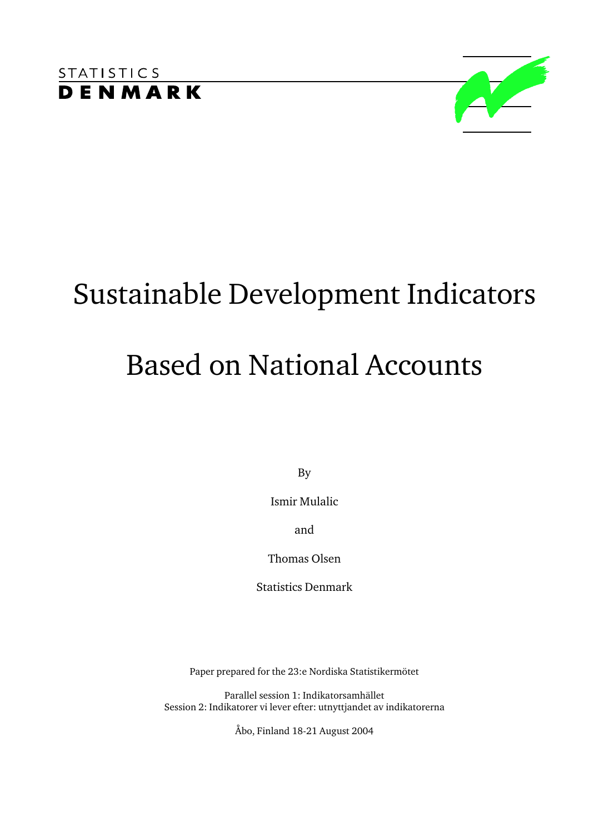

# Sustainable Development Indicators Based on National Accounts

By

Ismir Mulalic

and

Thomas Olsen

Statistics Denmark

Paper prepared for the 23:e Nordiska Statistikermötet

Parallel session 1: Indikatorsamhället Session 2: Indikatorer vi lever efter: utnyttjandet av indikatorerna

Åbo, Finland 18-21 August 2004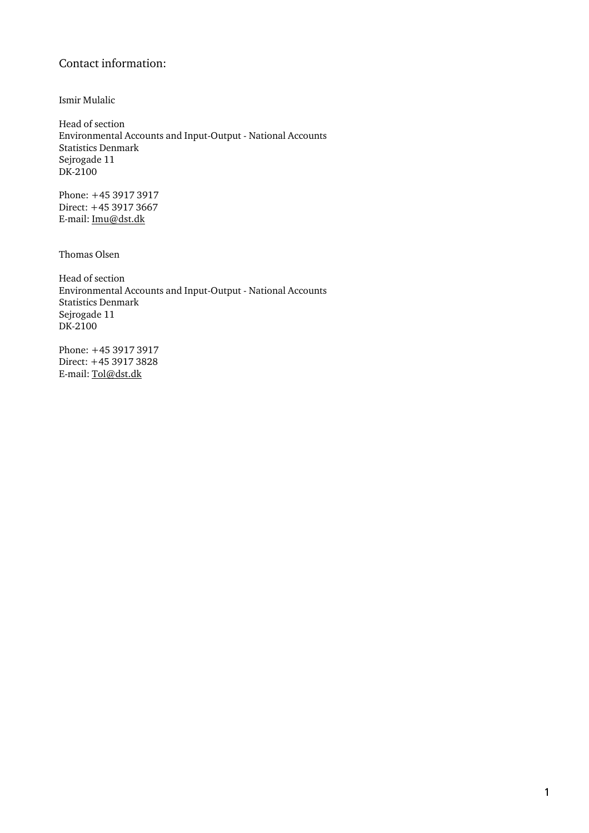## Contact information:

Ismir Mulalic

Head of section Environmental Accounts and Input-Output - National Accounts Statistics Denmark Sejrogade 11 DK-2100

Phone: +45 3917 3917 Direct: +45 3917 3667 E-mail: Imu@dst.dk

Thomas Olsen

Head of section Environmental Accounts and Input-Output - National Accounts Statistics Denmark Sejrogade 11 DK-2100

Phone: +45 3917 3917 Direct: +45 3917 3828 E-mail: Tol@dst.dk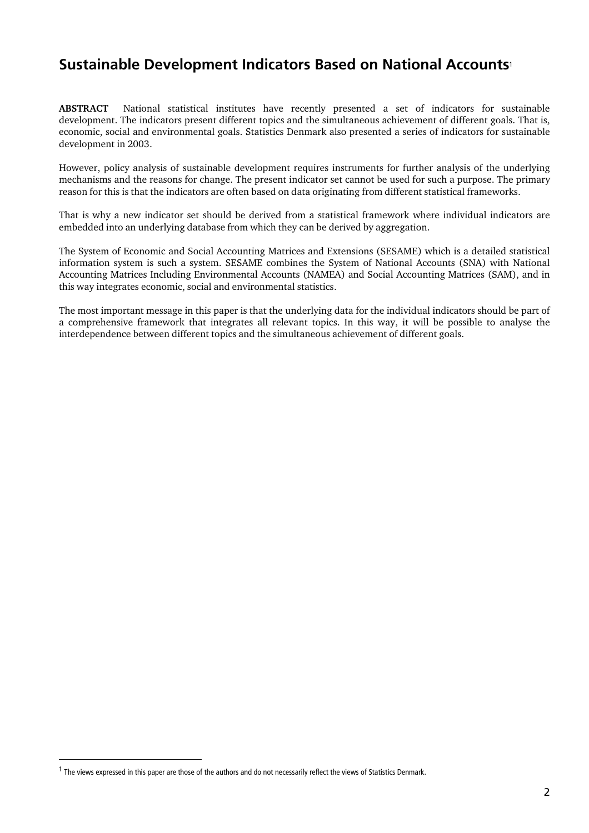# **Sustainable Development Indicators Based on National Accounts**<sup>1</sup>

**ABSTRACT** National statistical institutes have recently presented a set of indicators for sustainable development. The indicators present different topics and the simultaneous achievement of different goals. That is, economic, social and environmental goals. Statistics Denmark also presented a series of indicators for sustainable development in 2003.

However, policy analysis of sustainable development requires instruments for further analysis of the underlying mechanisms and the reasons for change. The present indicator set cannot be used for such a purpose. The primary reason for this is that the indicators are often based on data originating from different statistical frameworks.

That is why a new indicator set should be derived from a statistical framework where individual indicators are embedded into an underlying database from which they can be derived by aggregation.

The System of Economic and Social Accounting Matrices and Extensions (SESAME) which is a detailed statistical information system is such a system. SESAME combines the System of National Accounts (SNA) with National Accounting Matrices Including Environmental Accounts (NAMEA) and Social Accounting Matrices (SAM), and in this way integrates economic, social and environmental statistics.

The most important message in this paper is that the underlying data for the individual indicators should be part of a comprehensive framework that integrates all relevant topics. In this way, it will be possible to analyse the interdependence between different topics and the simultaneous achievement of different goals.

1

 $1$  The views expressed in this paper are those of the authors and do not necessarily reflect the views of Statistics Denmark.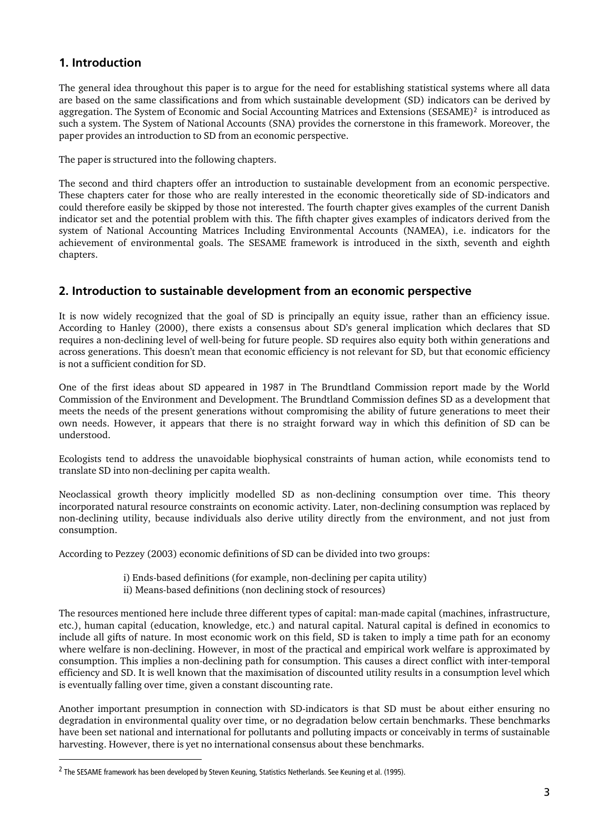# **1. Introduction**

The general idea throughout this paper is to argue for the need for establishing statistical systems where all data are based on the same classifications and from which sustainable development (SD) indicators can be derived by aggregation. The System of Economic and Social Accounting Matrices and Extensions (SESAME)<sup>2</sup> is introduced as such a system. The System of National Accounts (SNA) provides the cornerstone in this framework. Moreover, the paper provides an introduction to SD from an economic perspective.

The paper is structured into the following chapters.

The second and third chapters offer an introduction to sustainable development from an economic perspective. These chapters cater for those who are really interested in the economic theoretically side of SD-indicators and could therefore easily be skipped by those not interested. The fourth chapter gives examples of the current Danish indicator set and the potential problem with this. The fifth chapter gives examples of indicators derived from the system of National Accounting Matrices Including Environmental Accounts (NAMEA), i.e. indicators for the achievement of environmental goals. The SESAME framework is introduced in the sixth, seventh and eighth chapters.

#### **2. Introduction to sustainable development from an economic perspective**

It is now widely recognized that the goal of SD is principally an equity issue, rather than an efficiency issue. According to Hanley (2000), there exists a consensus about SD's general implication which declares that SD requires a non-declining level of well-being for future people. SD requires also equity both within generations and across generations. This doesn't mean that economic efficiency is not relevant for SD, but that economic efficiency is not a sufficient condition for SD.

One of the first ideas about SD appeared in 1987 in The Brundtland Commission report made by the World Commission of the Environment and Development. The Brundtland Commission defines SD as a development that meets the needs of the present generations without compromising the ability of future generations to meet their own needs. However, it appears that there is no straight forward way in which this definition of SD can be understood.

Ecologists tend to address the unavoidable biophysical constraints of human action, while economists tend to translate SD into non-declining per capita wealth.

Neoclassical growth theory implicitly modelled SD as non-declining consumption over time. This theory incorporated natural resource constraints on economic activity. Later, non-declining consumption was replaced by non-declining utility, because individuals also derive utility directly from the environment, and not just from consumption.

According to Pezzey (2003) economic definitions of SD can be divided into two groups:

i) Ends-based definitions (for example, non-declining per capita utility) ii) Means-based definitions (non declining stock of resources)

The resources mentioned here include three different types of capital: man-made capital (machines, infrastructure, etc.), human capital (education, knowledge, etc.) and natural capital. Natural capital is defined in economics to include all gifts of nature. In most economic work on this field, SD is taken to imply a time path for an economy where welfare is non-declining. However, in most of the practical and empirical work welfare is approximated by consumption. This implies a non-declining path for consumption. This causes a direct conflict with inter-temporal efficiency and SD. It is well known that the maximisation of discounted utility results in a consumption level which is eventually falling over time, given a constant discounting rate.

Another important presumption in connection with SD-indicators is that SD must be about either ensuring no degradation in environmental quality over time, or no degradation below certain benchmarks. These benchmarks have been set national and international for pollutants and polluting impacts or conceivably in terms of sustainable harvesting. However, there is yet no international consensus about these benchmarks.

1

<sup>&</sup>lt;sup>2</sup> The SESAME framework has been developed by Steven Keuning, Statistics Netherlands. See Keuning et al. (1995).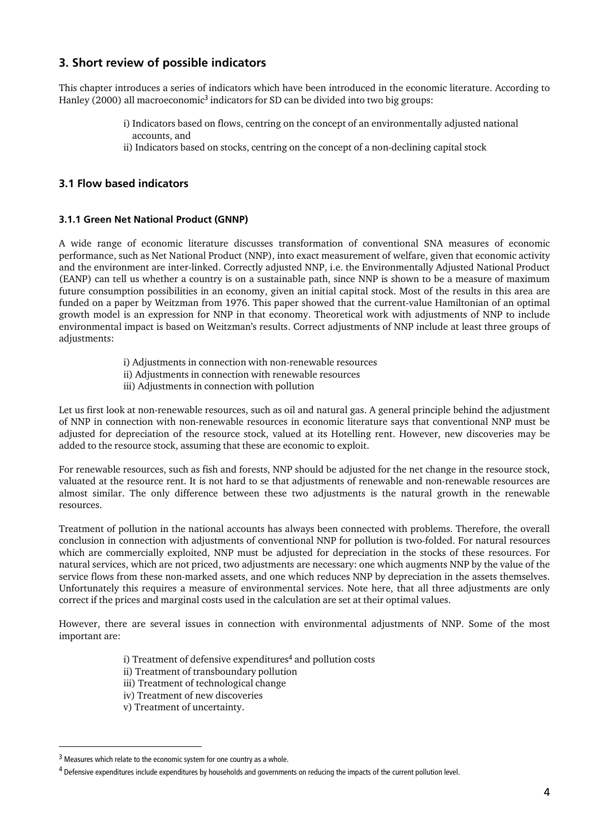# **3. Short review of possible indicators**

This chapter introduces a series of indicators which have been introduced in the economic literature. According to Hanley (2000) all macroeconomic<sup>3</sup> indicators for SD can be divided into two big groups:

- i) Indicators based on flows, centring on the concept of an environmentally adjusted national accounts, and
- ii) Indicators based on stocks, centring on the concept of a non-declining capital stock

#### **3.1 Flow based indicators**

#### **3.1.1 Green Net National Product (GNNP)**

A wide range of economic literature discusses transformation of conventional SNA measures of economic performance, such as Net National Product (NNP), into exact measurement of welfare, given that economic activity and the environment are inter-linked. Correctly adjusted NNP, i.e. the Environmentally Adjusted National Product (EANP) can tell us whether a country is on a sustainable path, since NNP is shown to be a measure of maximum future consumption possibilities in an economy, given an initial capital stock. Most of the results in this area are funded on a paper by Weitzman from 1976. This paper showed that the current-value Hamiltonian of an optimal growth model is an expression for NNP in that economy. Theoretical work with adjustments of NNP to include environmental impact is based on Weitzman's results. Correct adjustments of NNP include at least three groups of adjustments:

- i) Adjustments in connection with non-renewable resources
- ii) Adjustments in connection with renewable resources
- iii) Adjustments in connection with pollution

Let us first look at non-renewable resources, such as oil and natural gas. A general principle behind the adjustment of NNP in connection with non-renewable resources in economic literature says that conventional NNP must be adjusted for depreciation of the resource stock, valued at its Hotelling rent. However, new discoveries may be added to the resource stock, assuming that these are economic to exploit.

For renewable resources, such as fish and forests, NNP should be adjusted for the net change in the resource stock, valuated at the resource rent. It is not hard to se that adjustments of renewable and non-renewable resources are almost similar. The only difference between these two adjustments is the natural growth in the renewable resources.

Treatment of pollution in the national accounts has always been connected with problems. Therefore, the overall conclusion in connection with adjustments of conventional NNP for pollution is two-folded. For natural resources which are commercially exploited, NNP must be adjusted for depreciation in the stocks of these resources. For natural services, which are not priced, two adjustments are necessary: one which augments NNP by the value of the service flows from these non-marked assets, and one which reduces NNP by depreciation in the assets themselves. Unfortunately this requires a measure of environmental services. Note here, that all three adjustments are only correct if the prices and marginal costs used in the calculation are set at their optimal values.

However, there are several issues in connection with environmental adjustments of NNP. Some of the most important are:

- i) Treatment of defensive expenditures<sup>4</sup> and pollution costs
- ii) Treatment of transboundary pollution
- iii) Treatment of technological change
- iv) Treatment of new discoveries
- v) Treatment of uncertainty.

 $\overline{a}$ 

<sup>&</sup>lt;sup>3</sup> Measures which relate to the economic system for one country as a whole.

<sup>&</sup>lt;sup>4</sup> Defensive expenditures include expenditures by households and governments on reducing the impacts of the current pollution level.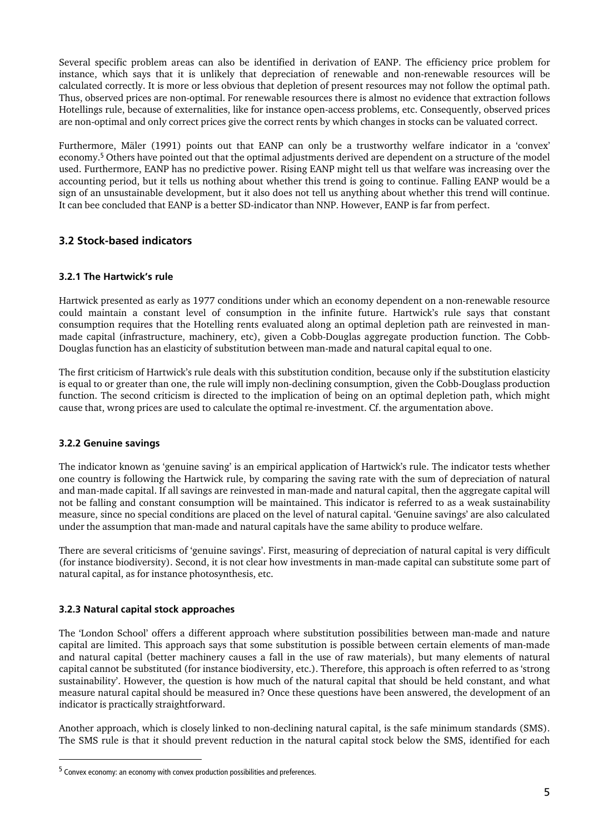Several specific problem areas can also be identified in derivation of EANP. The efficiency price problem for instance, which says that it is unlikely that depreciation of renewable and non-renewable resources will be calculated correctly. It is more or less obvious that depletion of present resources may not follow the optimal path. Thus, observed prices are non-optimal. For renewable resources there is almost no evidence that extraction follows Hotellings rule, because of externalities, like for instance open-access problems, etc. Consequently, observed prices are non-optimal and only correct prices give the correct rents by which changes in stocks can be valuated correct.

Furthermore, Mäler (1991) points out that EANP can only be a trustworthy welfare indicator in a 'convex' economy.<sup>5</sup> Others have pointed out that the optimal adjustments derived are dependent on a structure of the model used. Furthermore, EANP has no predictive power. Rising EANP might tell us that welfare was increasing over the accounting period, but it tells us nothing about whether this trend is going to continue. Falling EANP would be a sign of an unsustainable development, but it also does not tell us anything about whether this trend will continue. It can bee concluded that EANP is a better SD-indicator than NNP. However, EANP is far from perfect.

#### **3.2 Stock-based indicators**

#### **3.2.1 The Hartwick's rule**

Hartwick presented as early as 1977 conditions under which an economy dependent on a non-renewable resource could maintain a constant level of consumption in the infinite future. Hartwick's rule says that constant consumption requires that the Hotelling rents evaluated along an optimal depletion path are reinvested in manmade capital (infrastructure, machinery, etc), given a Cobb-Douglas aggregate production function. The Cobb-Douglas function has an elasticity of substitution between man-made and natural capital equal to one.

The first criticism of Hartwick's rule deals with this substitution condition, because only if the substitution elasticity is equal to or greater than one, the rule will imply non-declining consumption, given the Cobb-Douglass production function. The second criticism is directed to the implication of being on an optimal depletion path, which might cause that, wrong prices are used to calculate the optimal re-investment. Cf. the argumentation above.

#### **3.2.2 Genuine savings**

1

The indicator known as 'genuine saving' is an empirical application of Hartwick's rule. The indicator tests whether one country is following the Hartwick rule, by comparing the saving rate with the sum of depreciation of natural and man-made capital. If all savings are reinvested in man-made and natural capital, then the aggregate capital will not be falling and constant consumption will be maintained. This indicator is referred to as a weak sustainability measure, since no special conditions are placed on the level of natural capital. 'Genuine savings' are also calculated under the assumption that man-made and natural capitals have the same ability to produce welfare.

There are several criticisms of 'genuine savings'. First, measuring of depreciation of natural capital is very difficult (for instance biodiversity). Second, it is not clear how investments in man-made capital can substitute some part of natural capital, as for instance photosynthesis, etc.

#### **3.2.3 Natural capital stock approaches**

The 'London School' offers a different approach where substitution possibilities between man-made and nature capital are limited. This approach says that some substitution is possible between certain elements of man-made and natural capital (better machinery causes a fall in the use of raw materials), but many elements of natural capital cannot be substituted (for instance biodiversity, etc.). Therefore, this approach is often referred to as 'strong sustainability'. However, the question is how much of the natural capital that should be held constant, and what measure natural capital should be measured in? Once these questions have been answered, the development of an indicator is practically straightforward.

Another approach, which is closely linked to non-declining natural capital, is the safe minimum standards (SMS). The SMS rule is that it should prevent reduction in the natural capital stock below the SMS, identified for each

<sup>5</sup> Convex economy: an economy with convex production possibilities and preferences.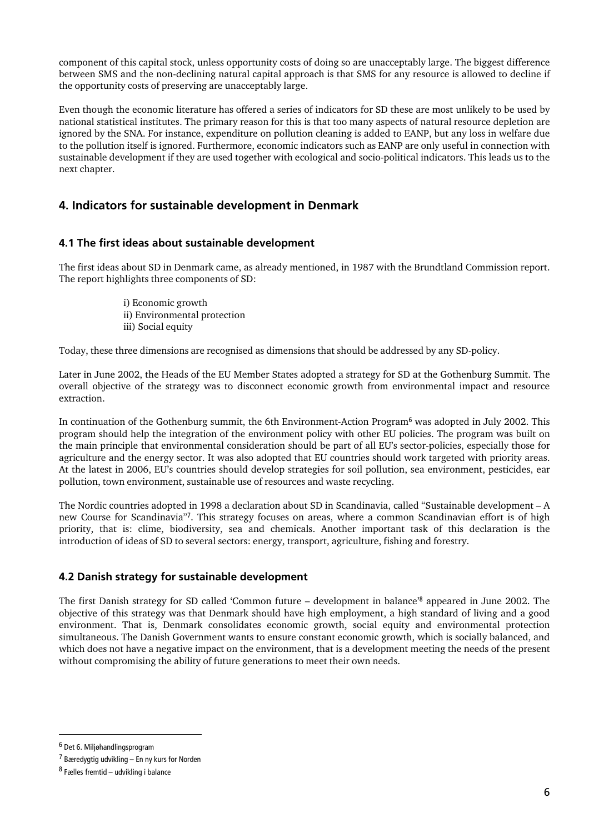component of this capital stock, unless opportunity costs of doing so are unacceptably large. The biggest difference between SMS and the non-declining natural capital approach is that SMS for any resource is allowed to decline if the opportunity costs of preserving are unacceptably large.

Even though the economic literature has offered a series of indicators for SD these are most unlikely to be used by national statistical institutes. The primary reason for this is that too many aspects of natural resource depletion are ignored by the SNA. For instance, expenditure on pollution cleaning is added to EANP, but any loss in welfare due to the pollution itself is ignored. Furthermore, economic indicators such as EANP are only useful in connection with sustainable development if they are used together with ecological and socio-political indicators. This leads us to the next chapter.

## **4. Indicators for sustainable development in Denmark**

#### **4.1 The first ideas about sustainable development**

The first ideas about SD in Denmark came, as already mentioned, in 1987 with the Brundtland Commission report. The report highlights three components of SD:

> i) Economic growth ii) Environmental protection iii) Social equity

Today, these three dimensions are recognised as dimensions that should be addressed by any SD-policy.

Later in June 2002, the Heads of the EU Member States adopted a strategy for SD at the Gothenburg Summit. The overall objective of the strategy was to disconnect economic growth from environmental impact and resource extraction.

In continuation of the Gothenburg summit, the 6th Environment-Action Program<sup>6</sup> was adopted in July 2002. This program should help the integration of the environment policy with other EU policies. The program was built on the main principle that environmental consideration should be part of all EU's sector-policies, especially those for agriculture and the energy sector. It was also adopted that EU countries should work targeted with priority areas. At the latest in 2006, EU's countries should develop strategies for soil pollution, sea environment, pesticides, ear pollution, town environment, sustainable use of resources and waste recycling.

The Nordic countries adopted in 1998 a declaration about SD in Scandinavia, called "Sustainable development – A new Course for Scandinavia"<sup>7</sup>. This strategy focuses on areas, where a common Scandinavian effort is of high priority, that is: clime, biodiversity, sea and chemicals. Another important task of this declaration is the introduction of ideas of SD to several sectors: energy, transport, agriculture, fishing and forestry.

#### **4.2 Danish strategy for sustainable development**

The first Danish strategy for SD called 'Common future – development in balance'<sup>8</sup> appeared in June 2002. The objective of this strategy was that Denmark should have high employment, a high standard of living and a good environment. That is, Denmark consolidates economic growth, social equity and environmental protection simultaneous. The Danish Government wants to ensure constant economic growth, which is socially balanced, and which does not have a negative impact on the environment, that is a development meeting the needs of the present without compromising the ability of future generations to meet their own needs.

1

<sup>6</sup> Det 6. Miljøhandlingsprogram

 $7$  Bæredygtig udvikling – En ny kurs for Norden

<sup>8</sup> Fælles fremtid – udvikling i balance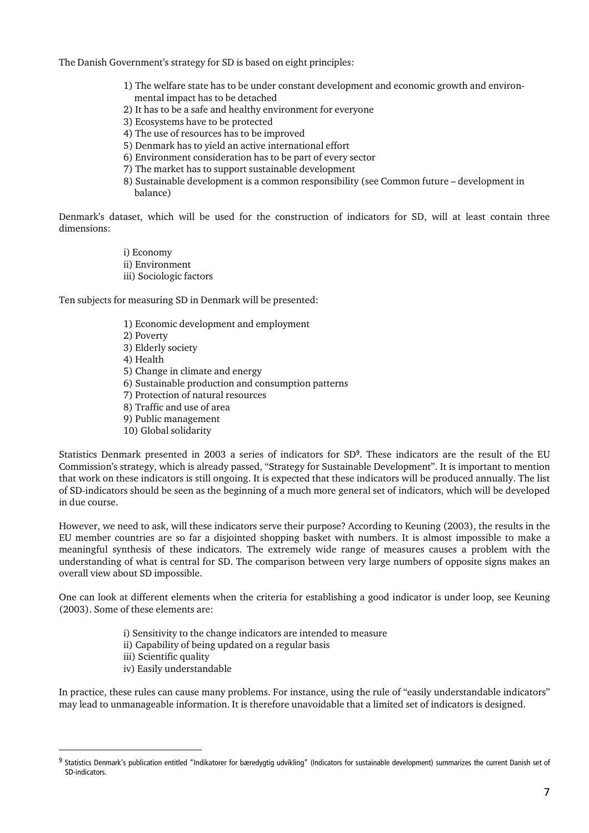The Danish Government's strategy for SD is based on eight principles:

- 1) The welfare state has to be under constant development and economic growth and environ mental impact has to be detached
- 2) It has to be a safe and healthy environment for everyone
- 3) Ecosystems have to be protected
- 4) The use of resources has to be improved
- 5) Denmark has to yield an active international effort
- 6) Environment consideration has to be part of every sector
- 7) The market has to support sustainable development
- 8) Sustainable development is a common responsibility (see Common future development in balance)

Denmark's dataset, which will be used for the construction of indicators for SD, will at least contain three dimensions:

> i) Economy ii) Environment iii) Sociologic factors

Ten subjects for measuring SD in Denmark will be presented:

- 1) Economic development and employment
- 2) Poverty
- 3) Elderly society
- 4) Health
- 5) Change in climate and energy
- 6) Sustainable production and consumption patterns
- 7) Protection of natural resources
- 8) Traffic and use of area
- 9) Public management
- 10) Global solidarity

Statistics Denmark presented in 2003 a series of indicators for SD<sup>9</sup>. These indicators are the result of the EU Commission's strategy, which is already passed, "Strategy for Sustainable Development". It is important to mention that work on these indicators is still ongoing. It is expected that these indicators will be produced annually. The list of SD-indicators should be seen as the beginning of a much more general set of indicators, which will be developed in due course.

However, we need to ask, will these indicators serve their purpose? According to Keuning (2003), the results in the EU member countries are so far a disjointed shopping basket with numbers. It is almost impossible to make a meaningful synthesis of these indicators. The extremely wide range of measures causes a problem with the understanding of what is central for SD. The comparison between very large numbers of opposite signs makes an overall view about SD impossible.

One can look at different elements when the criteria for establishing a good indicator is under loop, see Keuning (2003). Some of these elements are:

- i) Sensitivity to the change indicators are intended to measure
- ii) Capability of being updated on a regular basis
- iii) Scientific quality

 $\overline{a}$ 

iv) Easily understandable

In practice, these rules can cause many problems. For instance, using the rule of "easily understandable indicators" may lead to unmanageable information. It is therefore unavoidable that a limited set of indicators is designed.

<sup>&</sup>lt;sup>9</sup> Statistics Denmark's publication entitled "Indikatorer for bæredygtig udvikling" (Indicators for sustainable development) summarizes the current Danish set of SD-indicators.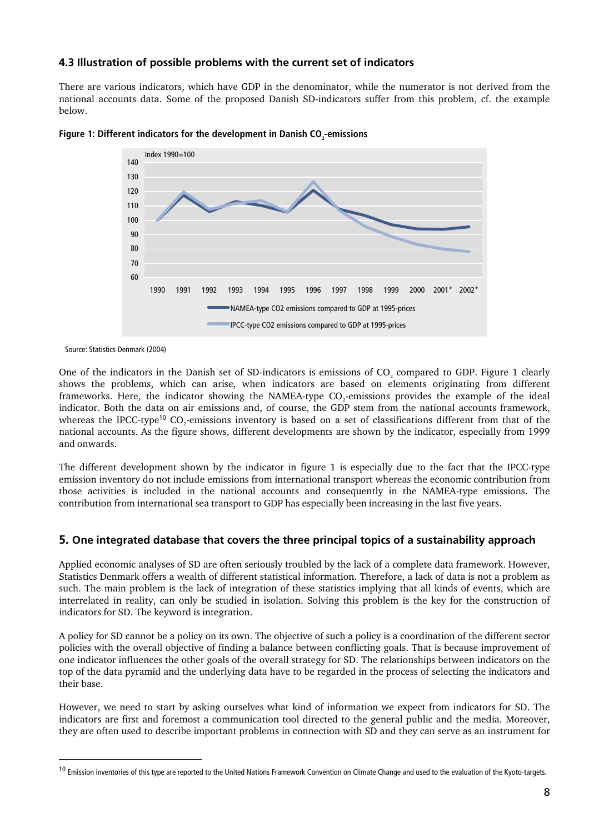#### **4.3 Illustration of possible problems with the current set of indicators**

There are various indicators, which have GDP in the denominator, while the numerator is not derived from the national accounts data. Some of the proposed Danish SD-indicators suffer from this problem, cf. the example below.





Source: Statistics Denmark (2004)

1

One of the indicators in the Danish set of SD-indicators is emissions of CO<sub>2</sub> compared to GDP. Figure 1 clearly shows the problems, which can arise, when indicators are based on elements originating from different frameworks. Here, the indicator showing the NAMEA-type CO<sub>2</sub>-emissions provides the example of the ideal indicator. Both the data on air emissions and, of course, the GDP stem from the national accounts framework, whereas the IPCC-type<sup>10</sup> CO<sub>2</sub>-emissions inventory is based on a set of classifications different from that of the national accounts. As the figure shows, different developments are shown by the indicator, especially from 1999 and onwards.

The different development shown by the indicator in figure 1 is especially due to the fact that the IPCC-type emission inventory do not include emissions from international transport whereas the economic contribution from those activities is included in the national accounts and consequently in the NAMEA-type emissions. The contribution from international sea transport to GDP has especially been increasing in the last five years.

#### **5. One integrated database that covers the three principal topics of a sustainability approach**

Applied economic analyses of SD are often seriously troubled by the lack of a complete data framework. However, Statistics Denmark offers a wealth of different statistical information. Therefore, a lack of data is not a problem as such. The main problem is the lack of integration of these statistics implying that all kinds of events, which are interrelated in reality, can only be studied in isolation. Solving this problem is the key for the construction of indicators for SD. The keyword is integration.

A policy for SD cannot be a policy on its own. The objective of such a policy is a coordination of the different sector policies with the overall objective of finding a balance between conflicting goals. That is because improvement of one indicator influences the other goals of the overall strategy for SD. The relationships between indicators on the top of the data pyramid and the underlying data have to be regarded in the process of selecting the indicators and their base.

However, we need to start by asking ourselves what kind of information we expect from indicators for SD. The indicators are first and foremost a communication tool directed to the general public and the media. Moreover, they are often used to describe important problems in connection with SD and they can serve as an instrument for

<sup>&</sup>lt;sup>10</sup> Emission inventories of this type are reported to the United Nations Framework Convention on Climate Change and used to the evaluation of the Kyoto-targets.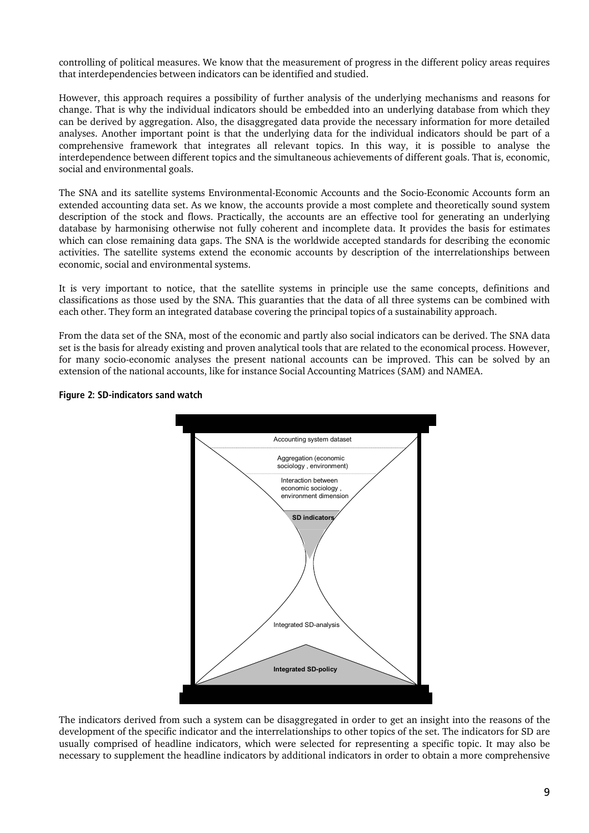controlling of political measures. We know that the measurement of progress in the different policy areas requires that interdependencies between indicators can be identified and studied.

However, this approach requires a possibility of further analysis of the underlying mechanisms and reasons for change. That is why the individual indicators should be embedded into an underlying database from which they can be derived by aggregation. Also, the disaggregated data provide the necessary information for more detailed analyses. Another important point is that the underlying data for the individual indicators should be part of a comprehensive framework that integrates all relevant topics. In this way, it is possible to analyse the interdependence between different topics and the simultaneous achievements of different goals. That is, economic, social and environmental goals.

The SNA and its satellite systems Environmental-Economic Accounts and the Socio-Economic Accounts form an extended accounting data set. As we know, the accounts provide a most complete and theoretically sound system description of the stock and flows. Practically, the accounts are an effective tool for generating an underlying database by harmonising otherwise not fully coherent and incomplete data. It provides the basis for estimates which can close remaining data gaps. The SNA is the worldwide accepted standards for describing the economic activities. The satellite systems extend the economic accounts by description of the interrelationships between economic, social and environmental systems.

It is very important to notice, that the satellite systems in principle use the same concepts, definitions and classifications as those used by the SNA. This guaranties that the data of all three systems can be combined with each other. They form an integrated database covering the principal topics of a sustainability approach.

From the data set of the SNA, most of the economic and partly also social indicators can be derived. The SNA data set is the basis for already existing and proven analytical tools that are related to the economical process. However, for many socio-economic analyses the present national accounts can be improved. This can be solved by an extension of the national accounts, like for instance Social Accounting Matrices (SAM) and NAMEA.



#### **Figure 2: SD-indicators sand watch**

The indicators derived from such a system can be disaggregated in order to get an insight into the reasons of the development of the specific indicator and the interrelationships to other topics of the set. The indicators for SD are usually comprised of headline indicators, which were selected for representing a specific topic. It may also be necessary to supplement the headline indicators by additional indicators in order to obtain a more comprehensive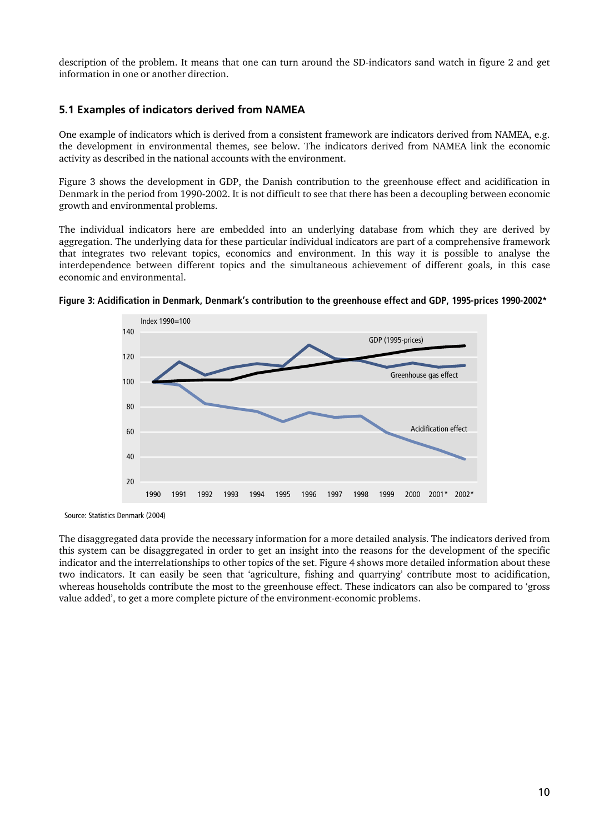description of the problem. It means that one can turn around the SD-indicators sand watch in figure 2 and get information in one or another direction.

#### **5.1 Examples of indicators derived from NAMEA**

One example of indicators which is derived from a consistent framework are indicators derived from NAMEA, e.g. the development in environmental themes, see below. The indicators derived from NAMEA link the economic activity as described in the national accounts with the environment.

Figure 3 shows the development in GDP, the Danish contribution to the greenhouse effect and acidification in Denmark in the period from 1990-2002. It is not difficult to see that there has been a decoupling between economic growth and environmental problems.

The individual indicators here are embedded into an underlying database from which they are derived by aggregation. The underlying data for these particular individual indicators are part of a comprehensive framework that integrates two relevant topics, economics and environment. In this way it is possible to analyse the interdependence between different topics and the simultaneous achievement of different goals, in this case economic and environmental.





Source: Statistics Denmark (2004)

The disaggregated data provide the necessary information for a more detailed analysis. The indicators derived from this system can be disaggregated in order to get an insight into the reasons for the development of the specific indicator and the interrelationships to other topics of the set. Figure 4 shows more detailed information about these two indicators. It can easily be seen that 'agriculture, fishing and quarrying' contribute most to acidification, whereas households contribute the most to the greenhouse effect. These indicators can also be compared to 'gross value added', to get a more complete picture of the environment-economic problems.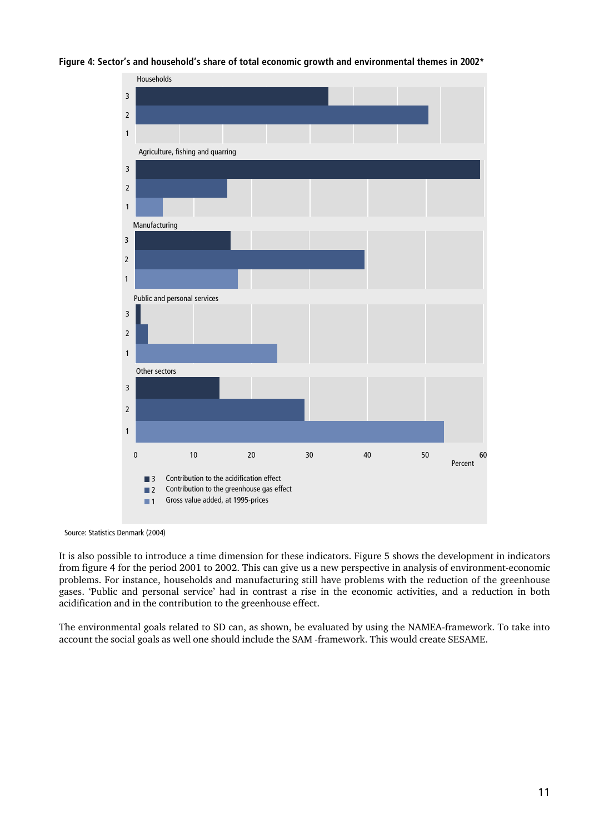#### **Figure 4: Sector's and household's share of total economic growth and environmental themes in 2002\***



Source: Statistics Denmark (2004)

It is also possible to introduce a time dimension for these indicators. Figure 5 shows the development in indicators from figure 4 for the period 2001 to 2002. This can give us a new perspective in analysis of environment-economic problems. For instance, households and manufacturing still have problems with the reduction of the greenhouse gases. 'Public and personal service' had in contrast a rise in the economic activities, and a reduction in both acidification and in the contribution to the greenhouse effect.

The environmental goals related to SD can, as shown, be evaluated by using the NAMEA-framework. To take into account the social goals as well one should include the SAM -framework. This would create SESAME.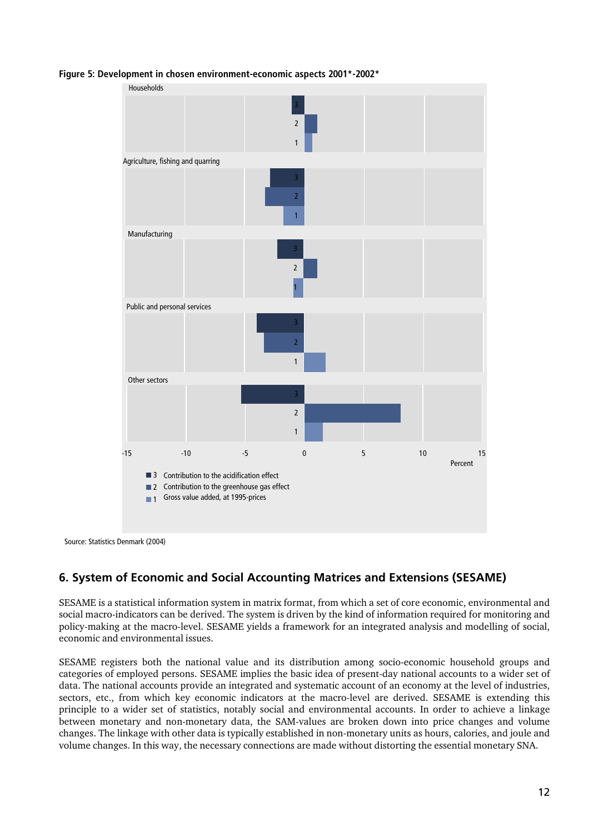

**Figure 5: Development in chosen environment-economic aspects 2001\*-2002\*** 

Source: Statistics Denmark (2004)

# **6. System of Economic and Social Accounting Matrices and Extensions (SESAME)**

SESAME is a statistical information system in matrix format, from which a set of core economic, environmental and social macro-indicators can be derived. The system is driven by the kind of information required for monitoring and policy-making at the macro-level. SESAME yields a framework for an integrated analysis and modelling of social, economic and environmental issues.

SESAME registers both the national value and its distribution among socio-economic household groups and categories of employed persons. SESAME implies the basic idea of present-day national accounts to a wider set of data. The national accounts provide an integrated and systematic account of an economy at the level of industries, sectors, etc., from which key economic indicators at the macro-level are derived. SESAME is extending this principle to a wider set of statistics, notably social and environmental accounts. In order to achieve a linkage between monetary and non-monetary data, the SAM-values are broken down into price changes and volume changes. The linkage with other data is typically established in non-monetary units as hours, calories, and joule and volume changes. In this way, the necessary connections are made without distorting the essential monetary SNA.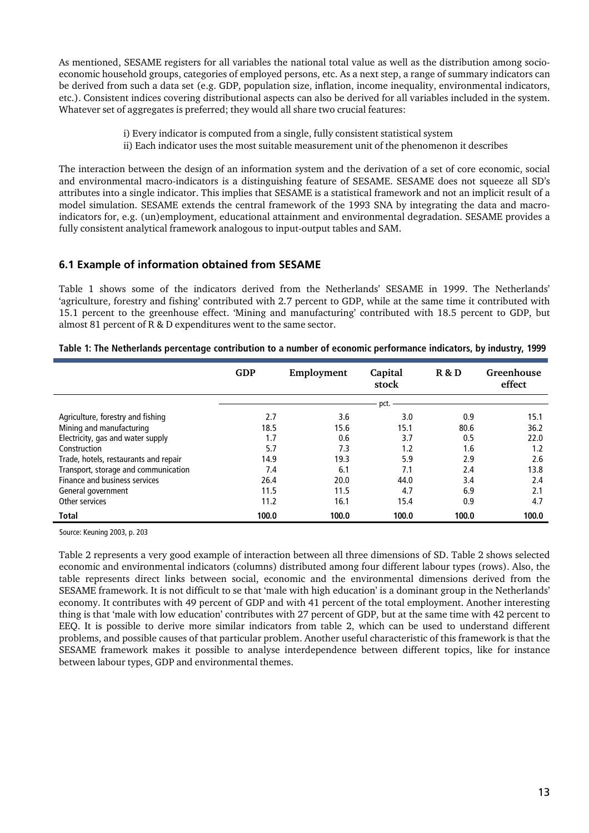As mentioned, SESAME registers for all variables the national total value as well as the distribution among socioeconomic household groups, categories of employed persons, etc. As a next step, a range of summary indicators can be derived from such a data set (e.g. GDP, population size, inflation, income inequality, environmental indicators, etc.). Consistent indices covering distributional aspects can also be derived for all variables included in the system. Whatever set of aggregates is preferred; they would all share two crucial features:

> i) Every indicator is computed from a single, fully consistent statistical system ii) Each indicator uses the most suitable measurement unit of the phenomenon it describes

The interaction between the design of an information system and the derivation of a set of core economic, social and environmental macro-indicators is a distinguishing feature of SESAME. SESAME does not squeeze all SD's attributes into a single indicator. This implies that SESAME is a statistical framework and not an implicit result of a model simulation. SESAME extends the central framework of the 1993 SNA by integrating the data and macroindicators for, e.g. (un)employment, educational attainment and environmental degradation. SESAME provides a fully consistent analytical framework analogous to input-output tables and SAM.

#### **6.1 Example of information obtained from SESAME**

Table 1 shows some of the indicators derived from the Netherlands' SESAME in 1999. The Netherlands' 'agriculture, forestry and fishing' contributed with 2.7 percent to GDP, while at the same time it contributed with 15.1 percent to the greenhouse effect. 'Mining and manufacturing' contributed with 18.5 percent to GDP, but almost 81 percent of R & D expenditures went to the same sector.

|                                       | <b>GDP</b> | Employment | Capital<br>stock | R & D | Greenhouse<br>effect |
|---------------------------------------|------------|------------|------------------|-------|----------------------|
|                                       |            |            |                  |       |                      |
| Agriculture, forestry and fishing     | 2.7        | 3.6        | 3.0              | 0.9   | 15.1                 |
| Mining and manufacturing              | 18.5       | 15.6       | 15.1             | 80.6  | 36.2                 |
| Electricity, gas and water supply     | 1.7        | 0.6        | 3.7              | 0.5   | 22.0                 |
| Construction                          | 5.7        | 7.3        | 1.2              | 1.6   | 1.2                  |
| Trade, hotels, restaurants and repair | 14.9       | 19.3       | 5.9              | 2.9   | 2.6                  |
| Transport, storage and communication  | 7.4        | 6.1        | 7.1              | 2.4   | 13.8                 |
| Finance and business services         | 26.4       | 20.0       | 44.0             | 3.4   | 2.4                  |
| General government                    | 11.5       | 11.5       | 4.7              | 6.9   | 2.1                  |
| Other services                        | 11.2       | 16.1       | 15.4             | 0.9   | 4.7                  |
| <b>Total</b>                          | 100.0      | 100.0      | 100.0            | 100.0 | 100.0                |

|  |  |  | Table 1: The Netherlands percentage contribution to a number of economic performance indicators, by industry, 1999 |
|--|--|--|--------------------------------------------------------------------------------------------------------------------|
|--|--|--|--------------------------------------------------------------------------------------------------------------------|

Source: Keuning 2003, p. 203

Table 2 represents a very good example of interaction between all three dimensions of SD. Table 2 shows selected economic and environmental indicators (columns) distributed among four different labour types (rows). Also, the table represents direct links between social, economic and the environmental dimensions derived from the SESAME framework. It is not difficult to se that 'male with high education' is a dominant group in the Netherlands' economy. It contributes with 49 percent of GDP and with 41 percent of the total employment. Another interesting thing is that 'male with low education' contributes with 27 percent of GDP, but at the same time with 42 percent to EEQ. It is possible to derive more similar indicators from table 2, which can be used to understand different problems, and possible causes of that particular problem. Another useful characteristic of this framework is that the SESAME framework makes it possible to analyse interdependence between different topics, like for instance between labour types, GDP and environmental themes.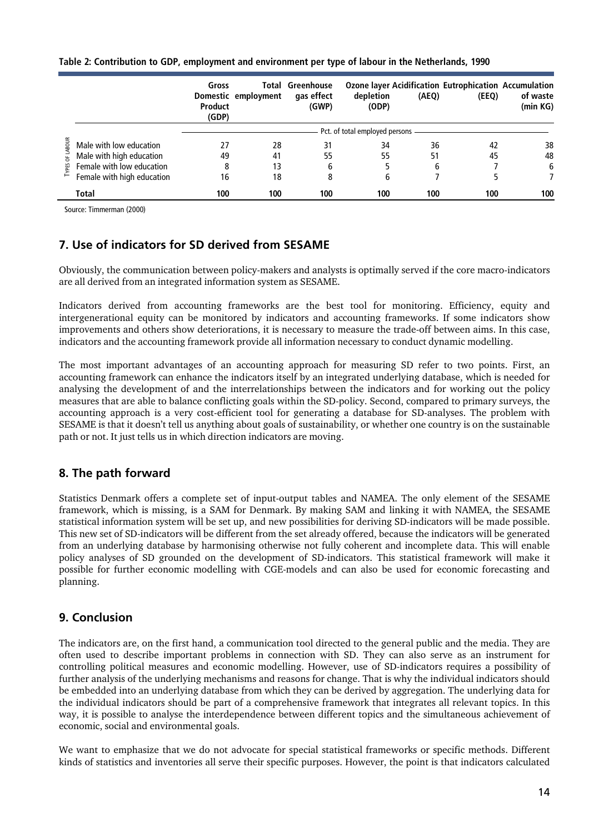|  |  | Table 2: Contribution to GDP, employment and environment per type of labour in the Netherlands, 1990 |
|--|--|------------------------------------------------------------------------------------------------------|
|--|--|------------------------------------------------------------------------------------------------------|

|                    |                            | Gross<br>Product<br>(GDP)      | Domestic employment | Total Greenhouse<br>gas effect<br>(GWP) | depletion<br>(ODP) | (AEQ) | Ozone layer Acidification Eutrophication Accumulation<br>(EEQ) | of waste<br>(min KG) |
|--------------------|----------------------------|--------------------------------|---------------------|-----------------------------------------|--------------------|-------|----------------------------------------------------------------|----------------------|
|                    |                            | Pct. of total employed persons |                     |                                         |                    |       |                                                                |                      |
| BOUR               | Male with low education    | 27                             | 28                  | 31                                      | 34                 | 36    | 42                                                             | 38                   |
| $\frac{1}{2}$<br>찙 | Male with high education   | 49                             | 41                  | 55                                      | 55                 | 51    | 45                                                             | 48                   |
|                    | Female with low education  | 8                              | 13                  | 6                                       |                    | 6     |                                                                | 6                    |
|                    | Female with high education | 16                             | 18                  | 8                                       | 6                  |       |                                                                |                      |
|                    | Total                      | 100                            | 100                 | 100                                     | 100                | 100   | 100                                                            | 100                  |

Source: Timmerman (2000)

# **7. Use of indicators for SD derived from SESAME**

Obviously, the communication between policy-makers and analysts is optimally served if the core macro-indicators are all derived from an integrated information system as SESAME.

Indicators derived from accounting frameworks are the best tool for monitoring. Efficiency, equity and intergenerational equity can be monitored by indicators and accounting frameworks. If some indicators show improvements and others show deteriorations, it is necessary to measure the trade-off between aims. In this case, indicators and the accounting framework provide all information necessary to conduct dynamic modelling.

The most important advantages of an accounting approach for measuring SD refer to two points. First, an accounting framework can enhance the indicators itself by an integrated underlying database, which is needed for analysing the development of and the interrelationships between the indicators and for working out the policy measures that are able to balance conflicting goals within the SD-policy. Second, compared to primary surveys, the accounting approach is a very cost-efficient tool for generating a database for SD-analyses. The problem with SESAME is that it doesn't tell us anything about goals of sustainability, or whether one country is on the sustainable path or not. It just tells us in which direction indicators are moving.

# **8. The path forward**

Statistics Denmark offers a complete set of input-output tables and NAMEA. The only element of the SESAME framework, which is missing, is a SAM for Denmark. By making SAM and linking it with NAMEA, the SESAME statistical information system will be set up, and new possibilities for deriving SD-indicators will be made possible. This new set of SD-indicators will be different from the set already offered, because the indicators will be generated from an underlying database by harmonising otherwise not fully coherent and incomplete data. This will enable policy analyses of SD grounded on the development of SD-indicators. This statistical framework will make it possible for further economic modelling with CGE-models and can also be used for economic forecasting and planning.

# **9. Conclusion**

The indicators are, on the first hand, a communication tool directed to the general public and the media. They are often used to describe important problems in connection with SD. They can also serve as an instrument for controlling political measures and economic modelling. However, use of SD-indicators requires a possibility of further analysis of the underlying mechanisms and reasons for change. That is why the individual indicators should be embedded into an underlying database from which they can be derived by aggregation. The underlying data for the individual indicators should be part of a comprehensive framework that integrates all relevant topics. In this way, it is possible to analyse the interdependence between different topics and the simultaneous achievement of economic, social and environmental goals.

We want to emphasize that we do not advocate for special statistical frameworks or specific methods. Different kinds of statistics and inventories all serve their specific purposes. However, the point is that indicators calculated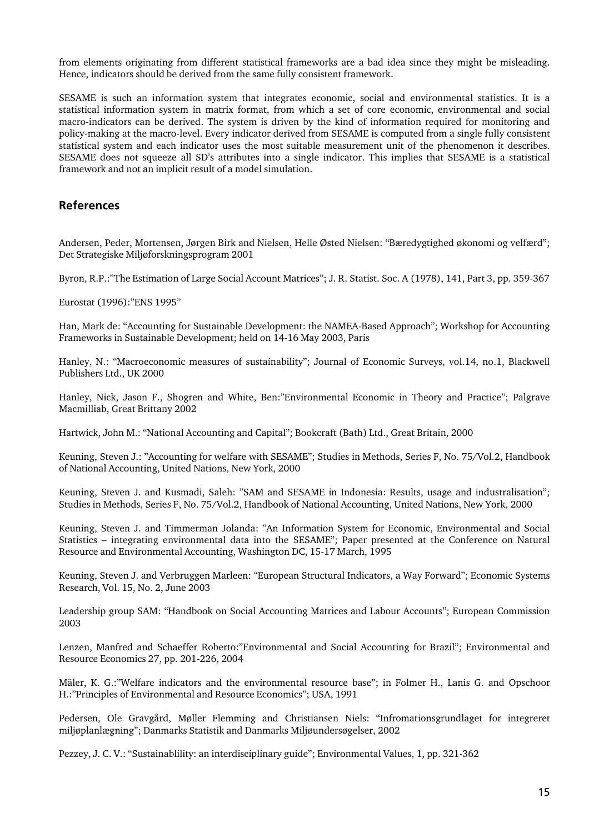from elements originating from different statistical frameworks are a bad idea since they might be misleading. Hence, indicators should be derived from the same fully consistent framework.

SESAME is such an information system that integrates economic, social and environmental statistics. It is a statistical information system in matrix format, from which a set of core economic, environmental and social macro-indicators can be derived. The system is driven by the kind of information required for monitoring and policy-making at the macro-level. Every indicator derived from SESAME is computed from a single fully consistent statistical system and each indicator uses the most suitable measurement unit of the phenomenon it describes. SESAME does not squeeze all SD's attributes into a single indicator. This implies that SESAME is a statistical framework and not an implicit result of a model simulation.

#### **References**

Andersen, Peder, Mortensen, Jørgen Birk and Nielsen, Helle Østed Nielsen: "Bæredygtighed økonomi og velfærd"; Det Strategiske Miljøforskningsprogram 2001

Byron, R.P.:"The Estimation of Large Social Account Matrices"; J. R. Statist. Soc. A (1978), 141, Part 3, pp. 359-367

Eurostat (1996):"ENS 1995"

Han, Mark de: "Accounting for Sustainable Development: the NAMEA-Based Approach"; Workshop for Accounting Frameworks in Sustainable Development; held on 14-16 May 2003, Paris

Hanley, N.: "Macroeconomic measures of sustainability"; Journal of Economic Surveys, vol.14, no.1, Blackwell Publishers Ltd., UK 2000

Hanley, Nick, Jason F., Shogren and White, Ben:"Environmental Economic in Theory and Practice"; Palgrave Macmilliab, Great Brittany 2002

Hartwick, John M.: "National Accounting and Capital"; Bookcraft (Bath) Ltd., Great Britain, 2000

Keuning, Steven J.: "Accounting for welfare with SESAME"; Studies in Methods, Series F, No. 75/Vol.2, Handbook of National Accounting, United Nations, New York, 2000

Keuning, Steven J. and Kusmadi, Saleh: "SAM and SESAME in Indonesia: Results, usage and industralisation"; Studies in Methods, Series F, No. 75/Vol.2, Handbook of National Accounting, United Nations, New York, 2000

Keuning, Steven J. and Timmerman Jolanda: "An Information System for Economic, Environmental and Social Statistics – integrating environmental data into the SESAME"; Paper presented at the Conference on Natural Resource and Environmental Accounting, Washington DC, 15-17 March, 1995

Keuning, Steven J. and Verbruggen Marleen: "European Structural Indicators, a Way Forward"; Economic Systems Research, Vol. 15, No. 2, June 2003

Leadership group SAM: "Handbook on Social Accounting Matrices and Labour Accounts"; European Commission 2003

Lenzen, Manfred and Schaeffer Roberto:"Environmental and Social Accounting for Brazil"; Environmental and Resource Economics 27, pp. 201-226, 2004

Mäler, K. G.:"Welfare indicators and the environmental resource base"; in Folmer H., Lanis G. and Opschoor H.:"Principles of Environmental and Resource Economics"; USA, 1991

Pedersen, Ole Gravgård, Møller Flemming and Christiansen Niels: "Infromationsgrundlaget for integreret miljøplanlægning"; Danmarks Statistik and Danmarks Miljøundersøgelser, 2002

Pezzey, J. C. V.: "Sustainablility: an interdisciplinary guide"; Environmental Values, 1, pp. 321-362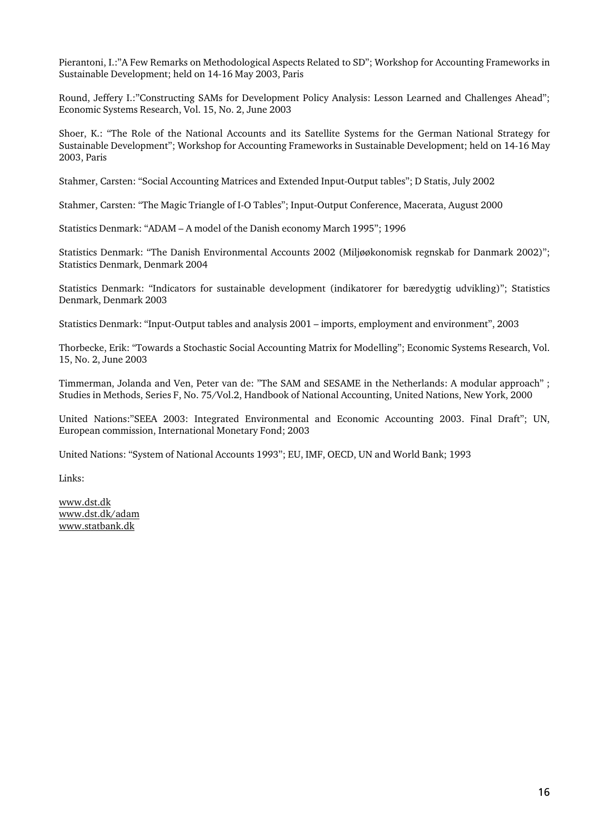Pierantoni, I.:"A Few Remarks on Methodological Aspects Related to SD"; Workshop for Accounting Frameworks in Sustainable Development; held on 14-16 May 2003, Paris

Round, Jeffery I.:"Constructing SAMs for Development Policy Analysis: Lesson Learned and Challenges Ahead"; Economic Systems Research, Vol. 15, No. 2, June 2003

Shoer, K.: "The Role of the National Accounts and its Satellite Systems for the German National Strategy for Sustainable Development"; Workshop for Accounting Frameworks in Sustainable Development; held on 14-16 May 2003, Paris

Stahmer, Carsten: "Social Accounting Matrices and Extended Input-Output tables"; D Statis, July 2002

Stahmer, Carsten: "The Magic Triangle of I-O Tables"; Input-Output Conference, Macerata, August 2000

Statistics Denmark: "ADAM – A model of the Danish economy March 1995"; 1996

Statistics Denmark: "The Danish Environmental Accounts 2002 (Miljøøkonomisk regnskab for Danmark 2002)"; Statistics Denmark, Denmark 2004

Statistics Denmark: "Indicators for sustainable development (indikatorer for bæredygtig udvikling)"; Statistics Denmark, Denmark 2003

Statistics Denmark: "Input-Output tables and analysis 2001 – imports, employment and environment", 2003

Thorbecke, Erik: "Towards a Stochastic Social Accounting Matrix for Modelling"; Economic Systems Research, Vol. 15, No. 2, June 2003

Timmerman, Jolanda and Ven, Peter van de: "The SAM and SESAME in the Netherlands: A modular approach" ; Studies in Methods, Series F, No. 75/Vol.2, Handbook of National Accounting, United Nations, New York, 2000

United Nations:"SEEA 2003: Integrated Environmental and Economic Accounting 2003. Final Draft"; UN, European commission, International Monetary Fond; 2003

United Nations: "System of National Accounts 1993"; EU, IMF, OECD, UN and World Bank; 1993

Links:

www.dst.dk www.dst.dk/adam www.statbank.dk